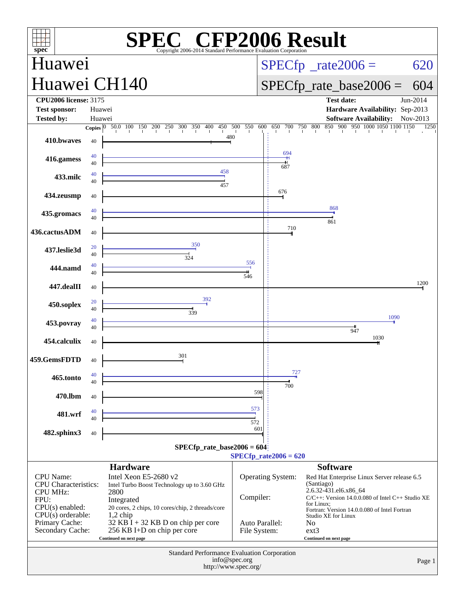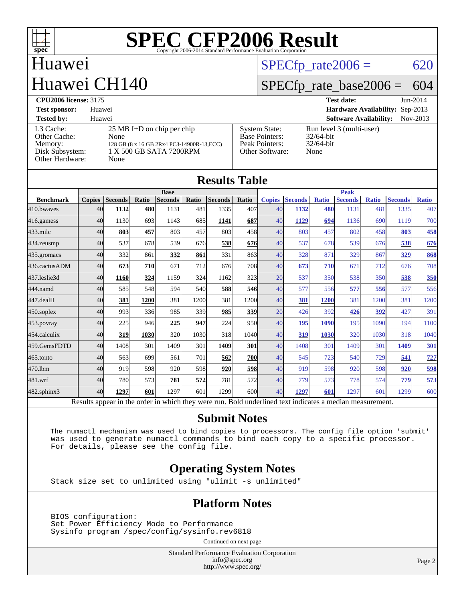

### Huawei Huawei CH140

#### $SPECTp_rate2006 = 620$

### [SPECfp\\_rate\\_base2006 =](http://www.spec.org/auto/cpu2006/Docs/result-fields.html#SPECfpratebase2006) 604

| <b>CPU2006 license: 3175</b>                                               |                                                                                                                               |                                                                                    | <b>Test date:</b>                                                | $Jun-2014$ |
|----------------------------------------------------------------------------|-------------------------------------------------------------------------------------------------------------------------------|------------------------------------------------------------------------------------|------------------------------------------------------------------|------------|
| <b>Test sponsor:</b>                                                       | Huawei                                                                                                                        |                                                                                    | Hardware Availability: Sep-2013                                  |            |
| <b>Tested by:</b>                                                          | Huawei                                                                                                                        |                                                                                    | <b>Software Availability:</b>                                    | Nov-2013   |
| L3 Cache:<br>Other Cache:<br>Memory:<br>Disk Subsystem:<br>Other Hardware: | $25 \text{ MB I+D}$ on chip per chip<br>None<br>128 GB (8 x 16 GB 2Rx4 PC3-14900R-13, ECC)<br>1 X 500 GB SATA 7200RPM<br>None | <b>System State:</b><br><b>Base Pointers:</b><br>Peak Pointers:<br>Other Software: | Run level 3 (multi-user)<br>$32/64$ -bit<br>$32/64$ -bit<br>None |            |

| <b>Results Table</b> |               |                |             |                                                                                                          |       |                |             |               |                |              |                |              |                |              |
|----------------------|---------------|----------------|-------------|----------------------------------------------------------------------------------------------------------|-------|----------------|-------------|---------------|----------------|--------------|----------------|--------------|----------------|--------------|
|                      | <b>Base</b>   |                |             | <b>Peak</b>                                                                                              |       |                |             |               |                |              |                |              |                |              |
| <b>Benchmark</b>     | <b>Copies</b> | <b>Seconds</b> | Ratio       | <b>Seconds</b>                                                                                           | Ratio | <b>Seconds</b> | Ratio       | <b>Copies</b> | <b>Seconds</b> | <b>Ratio</b> | <b>Seconds</b> | <b>Ratio</b> | <b>Seconds</b> | <b>Ratio</b> |
| 410.bwayes           | 40            | 1132           | 480         | 1131                                                                                                     | 481   | 1335           | 407         | 40            | 1132           | 480          | 1131           | 481          | 1335           | 407          |
| 416.gamess           | 40            | 1130           | 693         | 1143                                                                                                     | 685   | 1141           | 687         | 40            | 1129           | 694          | 1136           | 690          | 1119           | 700          |
| $433$ .milc          | 40            | 803            | 457         | 803                                                                                                      | 457   | 803            | 458         | 40            | 803            | 457          | 802            | 458          | 803            | <u>458</u>   |
| 434.zeusmp           | 40            | 537            | 678         | 539                                                                                                      | 676   | 538            | 676         | 40            | 537            | 678          | 539            | 676          | 538            | 676          |
| 435.gromacs          | 40            | 332            | 861         | 332                                                                                                      | 861   | 331            | 863         | 40            | 328            | 871          | 329            | 867          | 329            | 868          |
| 436.cactusADM        | 40            | 673            | 710         | 671                                                                                                      | 712l  | 676            | 708         | 40            | 673            | 710          | 671            | 712          | 676            | 708          |
| 437.leslie3d         | 40            | 1160           | 324         | 1159                                                                                                     | 324   | 1162           | 323         | 20            | 537            | 350          | 538            | 350          | 538            | 350          |
| 444.namd             | 40            | 585            | 548         | 594                                                                                                      | 540l  | 588            | 546         | 40            | 577            | 556          | 577            | 556          | 577            | 556          |
| 447.dealII           | 40            | 381            | <b>1200</b> | 381                                                                                                      | 1200  | 381            | 1200        | 40            | 381            | <b>1200</b>  | 381            | 1200         | 381            | 1200         |
| $450$ .soplex        | 40            | 993            | 336         | 985                                                                                                      | 339l  | 985            | <b>339</b>  | 20            | 426            | 392          | 426            | 392          | 427            | 391          |
| $453$ .povray        | 40            | 225            | 946         | 225                                                                                                      | 947   | 224            | 950l        | 40            | 195            | 1090         | 195            | 1090         | 194            | 1100         |
| 454.calculix         | 40            | 319            | 1030        | 320                                                                                                      | 1030  | 318            | 1040        | 40            | 319            | 1030         | 320            | 1030         | 318            | 1040         |
| 459.GemsFDTD         | 40            | 1408           | 301         | 1409                                                                                                     | 301   | 1409           | 301         | 40            | 1408           | 301          | 1409           | 301          | 1409           | <b>301</b>   |
| 465.tonto            | 40            | 563            | 699         | 561                                                                                                      | 701   | 562            | <b>700l</b> | 40            | 545            | 723          | 540            | 729          | 541            | 727          |
| 470.lbm              | 40            | 919            | 598         | 920                                                                                                      | 598   | 920            | <b>598</b>  | 40            | 919            | 598          | 920            | 598          | 920            | 598          |
| 481.wrf              | 40            | 780            | 573         | 781                                                                                                      | 572   | 781            | 572         | 40            | 779            | 573          | 778            | 574          | 779            | 573          |
| $482$ .sphinx $3$    | 40            | 1297           | 601         | 1297                                                                                                     | 601   | 1299           | 600         | 40            | 1297           | 601          | 1297           | 601          | 1299           | 600          |
|                      |               |                |             | Results appear in the order in which they were run. Bold underlined text indicates a median measurement. |       |                |             |               |                |              |                |              |                |              |

#### **[Submit Notes](http://www.spec.org/auto/cpu2006/Docs/result-fields.html#SubmitNotes)**

 The numactl mechanism was used to bind copies to processors. The config file option 'submit' was used to generate numactl commands to bind each copy to a specific processor. For details, please see the config file.

#### **[Operating System Notes](http://www.spec.org/auto/cpu2006/Docs/result-fields.html#OperatingSystemNotes)**

Stack size set to unlimited using "ulimit -s unlimited"

#### **[Platform Notes](http://www.spec.org/auto/cpu2006/Docs/result-fields.html#PlatformNotes)**

 BIOS configuration: Set Power Efficiency Mode to Performance Sysinfo program /spec/config/sysinfo.rev6818

Continued on next page

Standard Performance Evaluation Corporation [info@spec.org](mailto:info@spec.org) <http://www.spec.org/>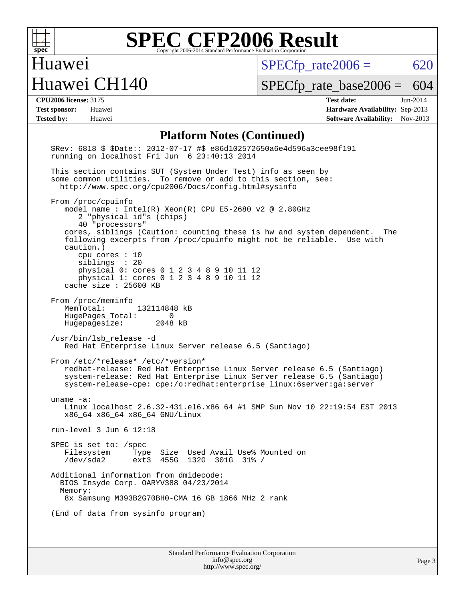

## Huawei Huawei CH140

 $SPECfp_rate2006 = 620$  $SPECfp_rate2006 = 620$ 

[SPECfp\\_rate\\_base2006 =](http://www.spec.org/auto/cpu2006/Docs/result-fields.html#SPECfpratebase2006) 604

**[CPU2006 license:](http://www.spec.org/auto/cpu2006/Docs/result-fields.html#CPU2006license)** 3175 **[Test date:](http://www.spec.org/auto/cpu2006/Docs/result-fields.html#Testdate)** Jun-2014 **[Test sponsor:](http://www.spec.org/auto/cpu2006/Docs/result-fields.html#Testsponsor)** Huawei **[Hardware Availability:](http://www.spec.org/auto/cpu2006/Docs/result-fields.html#HardwareAvailability)** Sep-2013 **[Tested by:](http://www.spec.org/auto/cpu2006/Docs/result-fields.html#Testedby)** Huawei **[Software Availability:](http://www.spec.org/auto/cpu2006/Docs/result-fields.html#SoftwareAvailability)** Nov-2013

#### **[Platform Notes \(Continued\)](http://www.spec.org/auto/cpu2006/Docs/result-fields.html#PlatformNotes)**

| \$Rev: 6818 \$ \$Date:: 2012-07-17 #\$ e86d102572650a6e4d596a3cee98f191<br>running on localhost Fri Jun 6 23:40:13 2014                                                                                                                                                                                                                                                                                                                           |
|---------------------------------------------------------------------------------------------------------------------------------------------------------------------------------------------------------------------------------------------------------------------------------------------------------------------------------------------------------------------------------------------------------------------------------------------------|
| This section contains SUT (System Under Test) info as seen by<br>some common utilities. To remove or add to this section, see:<br>http://www.spec.org/cpu2006/Docs/config.html#sysinfo                                                                                                                                                                                                                                                            |
| From /proc/cpuinfo<br>model name : Intel(R) Xeon(R) CPU E5-2680 v2 @ 2.80GHz<br>2 "physical id"s (chips)<br>40 "processors"<br>cores, siblings (Caution: counting these is hw and system dependent. The<br>following excerpts from /proc/cpuinfo might not be reliable. Use with<br>caution.)<br>cpu cores : 10<br>siblings : 20<br>physical 0: cores 0 1 2 3 4 8 9 10 11 12<br>physical 1: cores 0 1 2 3 4 8 9 10 11 12<br>cache size : 25600 KB |
| From /proc/meminfo<br>MemTotal:<br>132114848 kB<br>HugePages Total: 0<br>Hugepagesize: 2048 kB                                                                                                                                                                                                                                                                                                                                                    |
| /usr/bin/lsb release -d<br>Red Hat Enterprise Linux Server release 6.5 (Santiago)                                                                                                                                                                                                                                                                                                                                                                 |
| From /etc/*release* /etc/*version*<br>redhat-release: Red Hat Enterprise Linux Server release 6.5 (Santiago)<br>system-release: Red Hat Enterprise Linux Server release 6.5 (Santiago)<br>system-release-cpe: cpe:/o:redhat:enterprise_linux:6server:ga:server                                                                                                                                                                                    |
| uname $-a$ :<br>Linux localhost 2.6.32-431.el6.x86_64 #1 SMP Sun Nov 10 22:19:54 EST 2013<br>x86_64 x86_64 x86_64 GNU/Linux                                                                                                                                                                                                                                                                                                                       |
| run-level $3$ Jun $6$ 12:18                                                                                                                                                                                                                                                                                                                                                                                                                       |
| SPEC is set to: $/$ spec<br>Type Size Used Avail Use% Mounted on<br>Filesystem Type Size Used Avail Use% M<br>/dev/sda2 ext3 455G 132G 301G 31% /                                                                                                                                                                                                                                                                                                 |
| Additional information from dmidecode:<br>BIOS Insyde Corp. OARYV388 04/23/2014<br>Memory:<br>8x Samsung M393B2G70BH0-CMA 16 GB 1866 MHz 2 rank                                                                                                                                                                                                                                                                                                   |
| (End of data from sysinfo program)                                                                                                                                                                                                                                                                                                                                                                                                                |
| Standard Performance Evaluation Corporation<br>info@spec.org                                                                                                                                                                                                                                                                                                                                                                                      |

<http://www.spec.org/>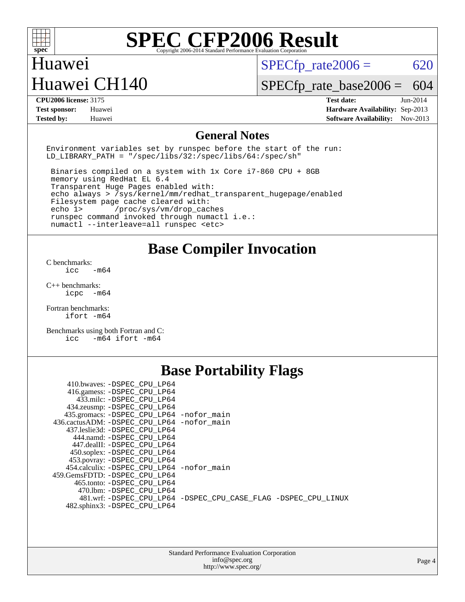

#### Huawei Huawei CH140

 $SPECTp\_rate2006 = 620$ 

[SPECfp\\_rate\\_base2006 =](http://www.spec.org/auto/cpu2006/Docs/result-fields.html#SPECfpratebase2006) 604

**[CPU2006 license:](http://www.spec.org/auto/cpu2006/Docs/result-fields.html#CPU2006license)** 3175 **[Test date:](http://www.spec.org/auto/cpu2006/Docs/result-fields.html#Testdate)** Jun-2014 **[Test sponsor:](http://www.spec.org/auto/cpu2006/Docs/result-fields.html#Testsponsor)** Huawei **[Hardware Availability:](http://www.spec.org/auto/cpu2006/Docs/result-fields.html#HardwareAvailability)** Sep-2013 **[Tested by:](http://www.spec.org/auto/cpu2006/Docs/result-fields.html#Testedby)** Huawei **[Software Availability:](http://www.spec.org/auto/cpu2006/Docs/result-fields.html#SoftwareAvailability)** Nov-2013

#### **[General Notes](http://www.spec.org/auto/cpu2006/Docs/result-fields.html#GeneralNotes)**

Environment variables set by runspec before the start of the run: LD LIBRARY PATH = "/spec/libs/32:/spec/libs/64:/spec/sh"

 Binaries compiled on a system with 1x Core i7-860 CPU + 8GB memory using RedHat EL 6.4 Transparent Huge Pages enabled with: echo always > /sys/kernel/mm/redhat\_transparent\_hugepage/enabled Filesystem page cache cleared with: echo 1> /proc/sys/vm/drop\_caches runspec command invoked through numactl i.e.: numactl --interleave=all runspec <etc>

**[Base Compiler Invocation](http://www.spec.org/auto/cpu2006/Docs/result-fields.html#BaseCompilerInvocation)**

[C benchmarks](http://www.spec.org/auto/cpu2006/Docs/result-fields.html#Cbenchmarks):  $\text{icc}$   $-\text{m64}$ 

[C++ benchmarks:](http://www.spec.org/auto/cpu2006/Docs/result-fields.html#CXXbenchmarks) [icpc -m64](http://www.spec.org/cpu2006/results/res2014q3/cpu2006-20140610-29847.flags.html#user_CXXbase_intel_icpc_64bit_bedb90c1146cab66620883ef4f41a67e)

[Fortran benchmarks](http://www.spec.org/auto/cpu2006/Docs/result-fields.html#Fortranbenchmarks): [ifort -m64](http://www.spec.org/cpu2006/results/res2014q3/cpu2006-20140610-29847.flags.html#user_FCbase_intel_ifort_64bit_ee9d0fb25645d0210d97eb0527dcc06e)

[Benchmarks using both Fortran and C](http://www.spec.org/auto/cpu2006/Docs/result-fields.html#BenchmarksusingbothFortranandC): [icc -m64](http://www.spec.org/cpu2006/results/res2014q3/cpu2006-20140610-29847.flags.html#user_CC_FCbase_intel_icc_64bit_0b7121f5ab7cfabee23d88897260401c) [ifort -m64](http://www.spec.org/cpu2006/results/res2014q3/cpu2006-20140610-29847.flags.html#user_CC_FCbase_intel_ifort_64bit_ee9d0fb25645d0210d97eb0527dcc06e)

### **[Base Portability Flags](http://www.spec.org/auto/cpu2006/Docs/result-fields.html#BasePortabilityFlags)**

| 410.bwaves: -DSPEC CPU LP64                 |                                                                |
|---------------------------------------------|----------------------------------------------------------------|
| 416.gamess: -DSPEC_CPU_LP64                 |                                                                |
| 433.milc: -DSPEC CPU LP64                   |                                                                |
| 434.zeusmp: - DSPEC_CPU_LP64                |                                                                |
| 435.gromacs: -DSPEC_CPU_LP64 -nofor_main    |                                                                |
| 436.cactusADM: -DSPEC CPU LP64 -nofor main  |                                                                |
| 437.leslie3d: -DSPEC CPU LP64               |                                                                |
| 444.namd: -DSPEC CPU LP64                   |                                                                |
| 447.dealII: -DSPEC_CPU LP64                 |                                                                |
| 450.soplex: -DSPEC_CPU_LP64                 |                                                                |
| 453.povray: -DSPEC CPU LP64                 |                                                                |
| 454.calculix: - DSPEC CPU LP64 - nofor main |                                                                |
| 459. GemsFDTD: - DSPEC CPU LP64             |                                                                |
| 465.tonto: - DSPEC CPU LP64                 |                                                                |
| 470.1bm: - DSPEC CPU LP64                   |                                                                |
|                                             | 481.wrf: -DSPEC CPU_LP64 -DSPEC_CPU_CASE_FLAG -DSPEC_CPU_LINUX |
| 482.sphinx3: -DSPEC_CPU_LP64                |                                                                |
|                                             |                                                                |

| <b>Standard Performance Evaluation Corporation</b> |
|----------------------------------------------------|
| info@spec.org                                      |
| http://www.spec.org/                               |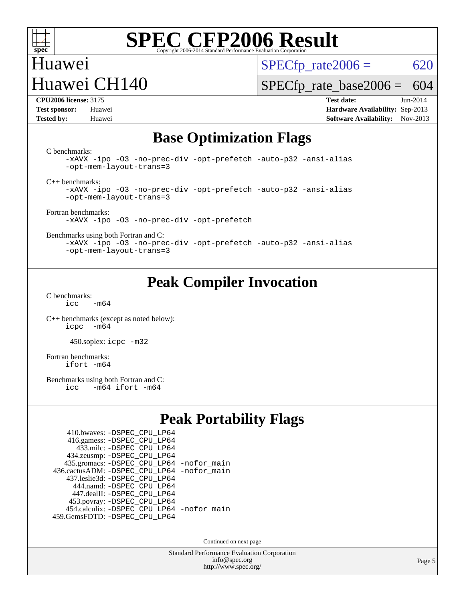

## Huawei Huawei CH140

 $SPECTp\_rate2006 = 620$ 

[SPECfp\\_rate\\_base2006 =](http://www.spec.org/auto/cpu2006/Docs/result-fields.html#SPECfpratebase2006) 604

**[CPU2006 license:](http://www.spec.org/auto/cpu2006/Docs/result-fields.html#CPU2006license)** 3175 **[Test date:](http://www.spec.org/auto/cpu2006/Docs/result-fields.html#Testdate)** Jun-2014 **[Test sponsor:](http://www.spec.org/auto/cpu2006/Docs/result-fields.html#Testsponsor)** Huawei **[Hardware Availability:](http://www.spec.org/auto/cpu2006/Docs/result-fields.html#HardwareAvailability)** Sep-2013 **[Tested by:](http://www.spec.org/auto/cpu2006/Docs/result-fields.html#Testedby)** Huawei **[Software Availability:](http://www.spec.org/auto/cpu2006/Docs/result-fields.html#SoftwareAvailability)** Nov-2013

#### **[Base Optimization Flags](http://www.spec.org/auto/cpu2006/Docs/result-fields.html#BaseOptimizationFlags)**

[C benchmarks](http://www.spec.org/auto/cpu2006/Docs/result-fields.html#Cbenchmarks):

[-xAVX](http://www.spec.org/cpu2006/results/res2014q3/cpu2006-20140610-29847.flags.html#user_CCbase_f-xAVX) [-ipo](http://www.spec.org/cpu2006/results/res2014q3/cpu2006-20140610-29847.flags.html#user_CCbase_f-ipo) [-O3](http://www.spec.org/cpu2006/results/res2014q3/cpu2006-20140610-29847.flags.html#user_CCbase_f-O3) [-no-prec-div](http://www.spec.org/cpu2006/results/res2014q3/cpu2006-20140610-29847.flags.html#user_CCbase_f-no-prec-div) [-opt-prefetch](http://www.spec.org/cpu2006/results/res2014q3/cpu2006-20140610-29847.flags.html#user_CCbase_f-opt-prefetch) [-auto-p32](http://www.spec.org/cpu2006/results/res2014q3/cpu2006-20140610-29847.flags.html#user_CCbase_f-auto-p32) [-ansi-alias](http://www.spec.org/cpu2006/results/res2014q3/cpu2006-20140610-29847.flags.html#user_CCbase_f-ansi-alias) [-opt-mem-layout-trans=3](http://www.spec.org/cpu2006/results/res2014q3/cpu2006-20140610-29847.flags.html#user_CCbase_f-opt-mem-layout-trans_a7b82ad4bd7abf52556d4961a2ae94d5)

[C++ benchmarks:](http://www.spec.org/auto/cpu2006/Docs/result-fields.html#CXXbenchmarks)

[-xAVX](http://www.spec.org/cpu2006/results/res2014q3/cpu2006-20140610-29847.flags.html#user_CXXbase_f-xAVX) [-ipo](http://www.spec.org/cpu2006/results/res2014q3/cpu2006-20140610-29847.flags.html#user_CXXbase_f-ipo) [-O3](http://www.spec.org/cpu2006/results/res2014q3/cpu2006-20140610-29847.flags.html#user_CXXbase_f-O3) [-no-prec-div](http://www.spec.org/cpu2006/results/res2014q3/cpu2006-20140610-29847.flags.html#user_CXXbase_f-no-prec-div) [-opt-prefetch](http://www.spec.org/cpu2006/results/res2014q3/cpu2006-20140610-29847.flags.html#user_CXXbase_f-opt-prefetch) [-auto-p32](http://www.spec.org/cpu2006/results/res2014q3/cpu2006-20140610-29847.flags.html#user_CXXbase_f-auto-p32) [-ansi-alias](http://www.spec.org/cpu2006/results/res2014q3/cpu2006-20140610-29847.flags.html#user_CXXbase_f-ansi-alias) [-opt-mem-layout-trans=3](http://www.spec.org/cpu2006/results/res2014q3/cpu2006-20140610-29847.flags.html#user_CXXbase_f-opt-mem-layout-trans_a7b82ad4bd7abf52556d4961a2ae94d5)

[Fortran benchmarks](http://www.spec.org/auto/cpu2006/Docs/result-fields.html#Fortranbenchmarks): [-xAVX](http://www.spec.org/cpu2006/results/res2014q3/cpu2006-20140610-29847.flags.html#user_FCbase_f-xAVX) [-ipo](http://www.spec.org/cpu2006/results/res2014q3/cpu2006-20140610-29847.flags.html#user_FCbase_f-ipo) [-O3](http://www.spec.org/cpu2006/results/res2014q3/cpu2006-20140610-29847.flags.html#user_FCbase_f-O3) [-no-prec-div](http://www.spec.org/cpu2006/results/res2014q3/cpu2006-20140610-29847.flags.html#user_FCbase_f-no-prec-div) [-opt-prefetch](http://www.spec.org/cpu2006/results/res2014q3/cpu2006-20140610-29847.flags.html#user_FCbase_f-opt-prefetch)

[Benchmarks using both Fortran and C](http://www.spec.org/auto/cpu2006/Docs/result-fields.html#BenchmarksusingbothFortranandC):

[-xAVX](http://www.spec.org/cpu2006/results/res2014q3/cpu2006-20140610-29847.flags.html#user_CC_FCbase_f-xAVX) [-ipo](http://www.spec.org/cpu2006/results/res2014q3/cpu2006-20140610-29847.flags.html#user_CC_FCbase_f-ipo) [-O3](http://www.spec.org/cpu2006/results/res2014q3/cpu2006-20140610-29847.flags.html#user_CC_FCbase_f-O3) [-no-prec-div](http://www.spec.org/cpu2006/results/res2014q3/cpu2006-20140610-29847.flags.html#user_CC_FCbase_f-no-prec-div) [-opt-prefetch](http://www.spec.org/cpu2006/results/res2014q3/cpu2006-20140610-29847.flags.html#user_CC_FCbase_f-opt-prefetch) [-auto-p32](http://www.spec.org/cpu2006/results/res2014q3/cpu2006-20140610-29847.flags.html#user_CC_FCbase_f-auto-p32) [-ansi-alias](http://www.spec.org/cpu2006/results/res2014q3/cpu2006-20140610-29847.flags.html#user_CC_FCbase_f-ansi-alias) [-opt-mem-layout-trans=3](http://www.spec.org/cpu2006/results/res2014q3/cpu2006-20140610-29847.flags.html#user_CC_FCbase_f-opt-mem-layout-trans_a7b82ad4bd7abf52556d4961a2ae94d5)

## **[Peak Compiler Invocation](http://www.spec.org/auto/cpu2006/Docs/result-fields.html#PeakCompilerInvocation)**

[C benchmarks](http://www.spec.org/auto/cpu2006/Docs/result-fields.html#Cbenchmarks):  $i<sub>c</sub>$   $-m64$ 

[C++ benchmarks \(except as noted below\):](http://www.spec.org/auto/cpu2006/Docs/result-fields.html#CXXbenchmarksexceptasnotedbelow) [icpc -m64](http://www.spec.org/cpu2006/results/res2014q3/cpu2006-20140610-29847.flags.html#user_CXXpeak_intel_icpc_64bit_bedb90c1146cab66620883ef4f41a67e)

450.soplex: [icpc -m32](http://www.spec.org/cpu2006/results/res2014q3/cpu2006-20140610-29847.flags.html#user_peakCXXLD450_soplex_intel_icpc_4e5a5ef1a53fd332b3c49e69c3330699)

[Fortran benchmarks](http://www.spec.org/auto/cpu2006/Docs/result-fields.html#Fortranbenchmarks): [ifort -m64](http://www.spec.org/cpu2006/results/res2014q3/cpu2006-20140610-29847.flags.html#user_FCpeak_intel_ifort_64bit_ee9d0fb25645d0210d97eb0527dcc06e)

[Benchmarks using both Fortran and C](http://www.spec.org/auto/cpu2006/Docs/result-fields.html#BenchmarksusingbothFortranandC):<br>icc -m64 ifort -m64  $-m64$  ifort  $-m64$ 

### **[Peak Portability Flags](http://www.spec.org/auto/cpu2006/Docs/result-fields.html#PeakPortabilityFlags)**

| 410.bwaves: - DSPEC CPU LP64                |  |
|---------------------------------------------|--|
| 416.gamess: -DSPEC_CPU_LP64                 |  |
| 433.milc: - DSPEC_CPU LP64                  |  |
| 434.zeusmp: -DSPEC_CPU_LP64                 |  |
| 435.gromacs: -DSPEC_CPU_LP64 -nofor_main    |  |
| 436.cactusADM: -DSPEC CPU LP64 -nofor main  |  |
| 437.leslie3d: -DSPEC CPU LP64               |  |
| 444.namd: - DSPEC CPU LP64                  |  |
| 447.dealII: -DSPEC CPU LP64                 |  |
| 453.povray: -DSPEC_CPU_LP64                 |  |
| 454.calculix: - DSPEC CPU LP64 - nofor main |  |
| 459.GemsFDTD: - DSPEC_CPU_LP64              |  |

Continued on next page

Standard Performance Evaluation Corporation [info@spec.org](mailto:info@spec.org) <http://www.spec.org/>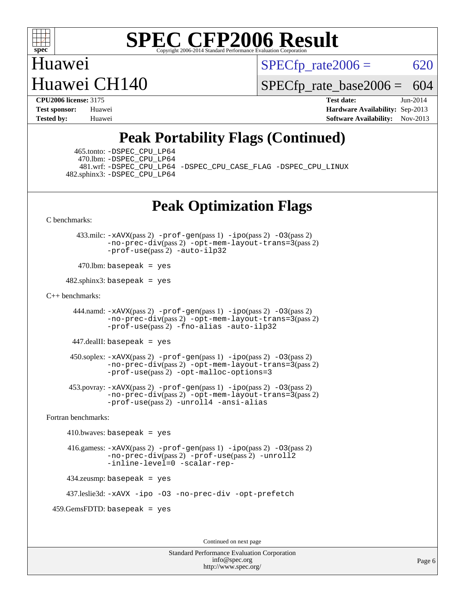

Huawei Huawei CH140  $SPECTp\_rate2006 = 620$ 

[SPECfp\\_rate\\_base2006 =](http://www.spec.org/auto/cpu2006/Docs/result-fields.html#SPECfpratebase2006) 604

**[CPU2006 license:](http://www.spec.org/auto/cpu2006/Docs/result-fields.html#CPU2006license)** 3175 **[Test date:](http://www.spec.org/auto/cpu2006/Docs/result-fields.html#Testdate)** Jun-2014 **[Test sponsor:](http://www.spec.org/auto/cpu2006/Docs/result-fields.html#Testsponsor)** Huawei **[Hardware Availability:](http://www.spec.org/auto/cpu2006/Docs/result-fields.html#HardwareAvailability)** Sep-2013 **[Tested by:](http://www.spec.org/auto/cpu2006/Docs/result-fields.html#Testedby)** Huawei **[Software Availability:](http://www.spec.org/auto/cpu2006/Docs/result-fields.html#SoftwareAvailability)** Nov-2013

## **[Peak Portability Flags \(Continued\)](http://www.spec.org/auto/cpu2006/Docs/result-fields.html#PeakPortabilityFlags)**

 465.tonto: [-DSPEC\\_CPU\\_LP64](http://www.spec.org/cpu2006/results/res2014q3/cpu2006-20140610-29847.flags.html#suite_peakPORTABILITY465_tonto_DSPEC_CPU_LP64) 470.lbm: [-DSPEC\\_CPU\\_LP64](http://www.spec.org/cpu2006/results/res2014q3/cpu2006-20140610-29847.flags.html#suite_peakPORTABILITY470_lbm_DSPEC_CPU_LP64) 482.sphinx3: [-DSPEC\\_CPU\\_LP64](http://www.spec.org/cpu2006/results/res2014q3/cpu2006-20140610-29847.flags.html#suite_peakPORTABILITY482_sphinx3_DSPEC_CPU_LP64)

481.wrf: [-DSPEC\\_CPU\\_LP64](http://www.spec.org/cpu2006/results/res2014q3/cpu2006-20140610-29847.flags.html#suite_peakPORTABILITY481_wrf_DSPEC_CPU_LP64) [-DSPEC\\_CPU\\_CASE\\_FLAG](http://www.spec.org/cpu2006/results/res2014q3/cpu2006-20140610-29847.flags.html#b481.wrf_peakCPORTABILITY_DSPEC_CPU_CASE_FLAG) [-DSPEC\\_CPU\\_LINUX](http://www.spec.org/cpu2006/results/res2014q3/cpu2006-20140610-29847.flags.html#b481.wrf_peakCPORTABILITY_DSPEC_CPU_LINUX)

## **[Peak Optimization Flags](http://www.spec.org/auto/cpu2006/Docs/result-fields.html#PeakOptimizationFlags)**

[C benchmarks](http://www.spec.org/auto/cpu2006/Docs/result-fields.html#Cbenchmarks):

 433.milc: [-xAVX](http://www.spec.org/cpu2006/results/res2014q3/cpu2006-20140610-29847.flags.html#user_peakPASS2_CFLAGSPASS2_LDFLAGS433_milc_f-xAVX)(pass 2) [-prof-gen](http://www.spec.org/cpu2006/results/res2014q3/cpu2006-20140610-29847.flags.html#user_peakPASS1_CFLAGSPASS1_LDFLAGS433_milc_prof_gen_e43856698f6ca7b7e442dfd80e94a8fc)(pass 1) [-ipo](http://www.spec.org/cpu2006/results/res2014q3/cpu2006-20140610-29847.flags.html#user_peakPASS2_CFLAGSPASS2_LDFLAGS433_milc_f-ipo)(pass 2) [-O3](http://www.spec.org/cpu2006/results/res2014q3/cpu2006-20140610-29847.flags.html#user_peakPASS2_CFLAGSPASS2_LDFLAGS433_milc_f-O3)(pass 2) [-no-prec-div](http://www.spec.org/cpu2006/results/res2014q3/cpu2006-20140610-29847.flags.html#user_peakPASS2_CFLAGSPASS2_LDFLAGS433_milc_f-no-prec-div)(pass 2) [-opt-mem-layout-trans=3](http://www.spec.org/cpu2006/results/res2014q3/cpu2006-20140610-29847.flags.html#user_peakPASS2_CFLAGS433_milc_f-opt-mem-layout-trans_a7b82ad4bd7abf52556d4961a2ae94d5)(pass 2) [-prof-use](http://www.spec.org/cpu2006/results/res2014q3/cpu2006-20140610-29847.flags.html#user_peakPASS2_CFLAGSPASS2_LDFLAGS433_milc_prof_use_bccf7792157ff70d64e32fe3e1250b55)(pass 2) [-auto-ilp32](http://www.spec.org/cpu2006/results/res2014q3/cpu2006-20140610-29847.flags.html#user_peakCOPTIMIZE433_milc_f-auto-ilp32)

 $470$ .lbm: basepeak = yes

 $482$ .sphinx3: basepeak = yes

#### [C++ benchmarks:](http://www.spec.org/auto/cpu2006/Docs/result-fields.html#CXXbenchmarks)

444.namd:  $-x$ AVX(pass 2)  $-p$ rof-gen(pass 1)  $-p$ po(pass 2)  $-03$ (pass 2) [-no-prec-div](http://www.spec.org/cpu2006/results/res2014q3/cpu2006-20140610-29847.flags.html#user_peakPASS2_CXXFLAGSPASS2_LDFLAGS444_namd_f-no-prec-div)(pass 2) [-opt-mem-layout-trans=3](http://www.spec.org/cpu2006/results/res2014q3/cpu2006-20140610-29847.flags.html#user_peakPASS2_CXXFLAGS444_namd_f-opt-mem-layout-trans_a7b82ad4bd7abf52556d4961a2ae94d5)(pass 2) [-prof-use](http://www.spec.org/cpu2006/results/res2014q3/cpu2006-20140610-29847.flags.html#user_peakPASS2_CXXFLAGSPASS2_LDFLAGS444_namd_prof_use_bccf7792157ff70d64e32fe3e1250b55)(pass 2) [-fno-alias](http://www.spec.org/cpu2006/results/res2014q3/cpu2006-20140610-29847.flags.html#user_peakCXXOPTIMIZE444_namd_f-no-alias_694e77f6c5a51e658e82ccff53a9e63a) [-auto-ilp32](http://www.spec.org/cpu2006/results/res2014q3/cpu2006-20140610-29847.flags.html#user_peakCXXOPTIMIZE444_namd_f-auto-ilp32)

447.dealII: basepeak = yes

 $450$ .soplex:  $-x$ AVX(pass 2)  $-p$ rof-gen(pass 1)  $-i$ po(pass 2)  $-03$ (pass 2) [-no-prec-div](http://www.spec.org/cpu2006/results/res2014q3/cpu2006-20140610-29847.flags.html#user_peakPASS2_CXXFLAGSPASS2_LDFLAGS450_soplex_f-no-prec-div)(pass 2) [-opt-mem-layout-trans=3](http://www.spec.org/cpu2006/results/res2014q3/cpu2006-20140610-29847.flags.html#user_peakPASS2_CXXFLAGS450_soplex_f-opt-mem-layout-trans_a7b82ad4bd7abf52556d4961a2ae94d5)(pass 2) [-prof-use](http://www.spec.org/cpu2006/results/res2014q3/cpu2006-20140610-29847.flags.html#user_peakPASS2_CXXFLAGSPASS2_LDFLAGS450_soplex_prof_use_bccf7792157ff70d64e32fe3e1250b55)(pass 2) [-opt-malloc-options=3](http://www.spec.org/cpu2006/results/res2014q3/cpu2006-20140610-29847.flags.html#user_peakOPTIMIZE450_soplex_f-opt-malloc-options_13ab9b803cf986b4ee62f0a5998c2238)

 453.povray: [-xAVX](http://www.spec.org/cpu2006/results/res2014q3/cpu2006-20140610-29847.flags.html#user_peakPASS2_CXXFLAGSPASS2_LDFLAGS453_povray_f-xAVX)(pass 2) [-prof-gen](http://www.spec.org/cpu2006/results/res2014q3/cpu2006-20140610-29847.flags.html#user_peakPASS1_CXXFLAGSPASS1_LDFLAGS453_povray_prof_gen_e43856698f6ca7b7e442dfd80e94a8fc)(pass 1) [-ipo](http://www.spec.org/cpu2006/results/res2014q3/cpu2006-20140610-29847.flags.html#user_peakPASS2_CXXFLAGSPASS2_LDFLAGS453_povray_f-ipo)(pass 2) [-O3](http://www.spec.org/cpu2006/results/res2014q3/cpu2006-20140610-29847.flags.html#user_peakPASS2_CXXFLAGSPASS2_LDFLAGS453_povray_f-O3)(pass 2) [-no-prec-div](http://www.spec.org/cpu2006/results/res2014q3/cpu2006-20140610-29847.flags.html#user_peakPASS2_CXXFLAGSPASS2_LDFLAGS453_povray_f-no-prec-div)(pass 2) [-opt-mem-layout-trans=3](http://www.spec.org/cpu2006/results/res2014q3/cpu2006-20140610-29847.flags.html#user_peakPASS2_CXXFLAGS453_povray_f-opt-mem-layout-trans_a7b82ad4bd7abf52556d4961a2ae94d5)(pass 2) [-prof-use](http://www.spec.org/cpu2006/results/res2014q3/cpu2006-20140610-29847.flags.html#user_peakPASS2_CXXFLAGSPASS2_LDFLAGS453_povray_prof_use_bccf7792157ff70d64e32fe3e1250b55)(pass 2) [-unroll4](http://www.spec.org/cpu2006/results/res2014q3/cpu2006-20140610-29847.flags.html#user_peakCXXOPTIMIZE453_povray_f-unroll_4e5e4ed65b7fd20bdcd365bec371b81f) [-ansi-alias](http://www.spec.org/cpu2006/results/res2014q3/cpu2006-20140610-29847.flags.html#user_peakCXXOPTIMIZE453_povray_f-ansi-alias)

[Fortran benchmarks](http://www.spec.org/auto/cpu2006/Docs/result-fields.html#Fortranbenchmarks):

 $410.bwaves: basepeak = yes$  416.gamess: [-xAVX](http://www.spec.org/cpu2006/results/res2014q3/cpu2006-20140610-29847.flags.html#user_peakPASS2_FFLAGSPASS2_LDFLAGS416_gamess_f-xAVX)(pass 2) [-prof-gen](http://www.spec.org/cpu2006/results/res2014q3/cpu2006-20140610-29847.flags.html#user_peakPASS1_FFLAGSPASS1_LDFLAGS416_gamess_prof_gen_e43856698f6ca7b7e442dfd80e94a8fc)(pass 1) [-ipo](http://www.spec.org/cpu2006/results/res2014q3/cpu2006-20140610-29847.flags.html#user_peakPASS2_FFLAGSPASS2_LDFLAGS416_gamess_f-ipo)(pass 2) [-O3](http://www.spec.org/cpu2006/results/res2014q3/cpu2006-20140610-29847.flags.html#user_peakPASS2_FFLAGSPASS2_LDFLAGS416_gamess_f-O3)(pass 2) [-no-prec-div](http://www.spec.org/cpu2006/results/res2014q3/cpu2006-20140610-29847.flags.html#user_peakPASS2_FFLAGSPASS2_LDFLAGS416_gamess_f-no-prec-div)(pass 2) [-prof-use](http://www.spec.org/cpu2006/results/res2014q3/cpu2006-20140610-29847.flags.html#user_peakPASS2_FFLAGSPASS2_LDFLAGS416_gamess_prof_use_bccf7792157ff70d64e32fe3e1250b55)(pass 2) [-unroll2](http://www.spec.org/cpu2006/results/res2014q3/cpu2006-20140610-29847.flags.html#user_peakOPTIMIZE416_gamess_f-unroll_784dae83bebfb236979b41d2422d7ec2) [-inline-level=0](http://www.spec.org/cpu2006/results/res2014q3/cpu2006-20140610-29847.flags.html#user_peakOPTIMIZE416_gamess_f-inline-level_318d07a09274ad25e8d15dbfaa68ba50) [-scalar-rep-](http://www.spec.org/cpu2006/results/res2014q3/cpu2006-20140610-29847.flags.html#user_peakOPTIMIZE416_gamess_f-disablescalarrep_abbcad04450fb118e4809c81d83c8a1d) 434.zeusmp: basepeak = yes

437.leslie3d: [-xAVX](http://www.spec.org/cpu2006/results/res2014q3/cpu2006-20140610-29847.flags.html#user_peakOPTIMIZE437_leslie3d_f-xAVX) [-ipo](http://www.spec.org/cpu2006/results/res2014q3/cpu2006-20140610-29847.flags.html#user_peakOPTIMIZE437_leslie3d_f-ipo) [-O3](http://www.spec.org/cpu2006/results/res2014q3/cpu2006-20140610-29847.flags.html#user_peakOPTIMIZE437_leslie3d_f-O3) [-no-prec-div](http://www.spec.org/cpu2006/results/res2014q3/cpu2006-20140610-29847.flags.html#user_peakOPTIMIZE437_leslie3d_f-no-prec-div) [-opt-prefetch](http://www.spec.org/cpu2006/results/res2014q3/cpu2006-20140610-29847.flags.html#user_peakOPTIMIZE437_leslie3d_f-opt-prefetch)

459.GemsFDTD: basepeak = yes

Continued on next page

Standard Performance Evaluation Corporation [info@spec.org](mailto:info@spec.org) <http://www.spec.org/>